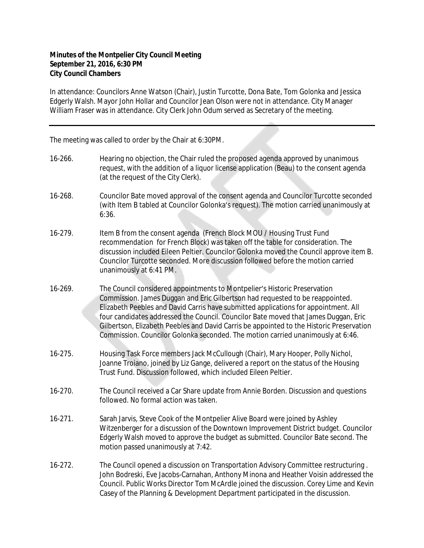## **Minutes of the Montpelier City Council Meeting September 21, 2016, 6:30 PM City Council Chambers**

In attendance: Councilors Anne Watson (Chair), Justin Turcotte, Dona Bate, Tom Golonka and Jessica Edgerly Walsh. Mayor John Hollar and Councilor Jean Olson were not in attendance. City Manager William Fraser was in attendance. City Clerk John Odum served as Secretary of the meeting.

The meeting was called to order by the Chair at 6:30PM.

- 16-266. Hearing no objection, the Chair ruled the proposed agenda approved by unanimous request, with the addition of a liquor license application (Beau) to the consent agenda (at the request of the City Clerk).
- 16-268. Councilor Bate moved approval of the consent agenda and Councilor Turcotte seconded (with Item B tabled at Councilor Golonka's request). The motion carried unanimously at 6:36.
- 16-279. Item B from the consent agenda (French Block MOU / Housing Trust Fund recommendation for French Block) was taken off the table for consideration. The discussion included Eileen Peltier. Councilor Golonka moved the Council approve item B. Councilor Turcotte seconded. More discussion followed before the motion carried unanimously at 6:41 PM.
- 16-269. The Council considered appointments to Montpelier's Historic Preservation Commission. James Duggan and Eric Gilbertson had requested to be reappointed. Elizabeth Peebles and David Carris have submitted applications for appointment. All four candidates addressed the Council. Councilor Bate moved that James Duggan, Eric Gilbertson, Elizabeth Peebles and David Carris be appointed to the Historic Preservation Commission. Councilor Golonka seconded. The motion carried unanimously at 6:46.
- 16-275. Housing Task Force members Jack McCullough (Chair), Mary Hooper, Polly Nichol, Joanne Troiano, joined by Liz Gange, delivered a report on the status of the Housing Trust Fund. Discussion followed, which included Eileen Peltier.
- 16-270. The Council received a Car Share update from Annie Borden. Discussion and questions followed. No formal action was taken.
- 16-271. Sarah Jarvis, Steve Cook of the Montpelier Alive Board were joined by Ashley Witzenberger for a discussion of the Downtown Improvement District budget. Councilor Edgerly Walsh moved to approve the budget as submitted. Councilor Bate second. The motion passed unanimously at 7:42.
- 16-272. The Council opened a discussion on Transportation Advisory Committee restructuring . John Bodreski, Eve Jacobs-Carnahan, Anthony Minona and Heather Voisin addressed the Council. Public Works Director Tom McArdle joined the discussion. Corey Lime and Kevin Casey of the Planning & Development Department participated in the discussion.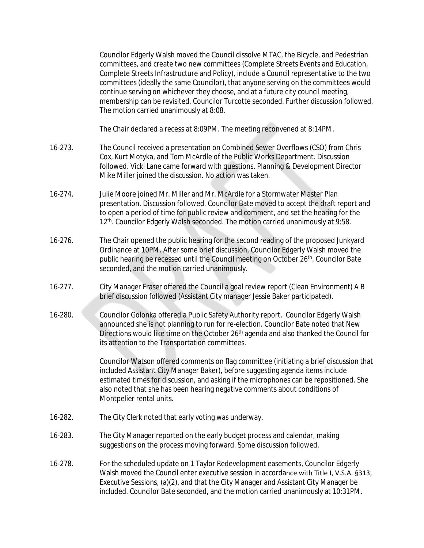Councilor Edgerly Walsh moved the Council dissolve MTAC, the Bicycle, and Pedestrian committees, and create two new committees (Complete Streets Events and Education, Complete Streets Infrastructure and Policy), include a Council representative to the two committees (ideally the same Councilor), that anyone serving on the committees would continue serving on whichever they choose, and at a future city council meeting, membership can be revisited. Councilor Turcotte seconded. Further discussion followed. The motion carried unanimously at 8:08.

The Chair declared a recess at 8:09PM. The meeting reconvened at 8:14PM.

- 16-273. The Council received a presentation on Combined Sewer Overflows (CSO) from Chris Cox, Kurt Motyka, and Tom McArdle of the Public Works Department. Discussion followed. Vicki Lane came forward with questions. Planning & Development Director Mike Miller joined the discussion. No action was taken.
- 16-274. Julie Moore joined Mr. Miller and Mr. McArdle for a Stormwater Master Plan presentation. Discussion followed. Councilor Bate moved to accept the draft report and to open a period of time for public review and comment, and set the hearing for the 12<sup>th</sup>. Councilor Edgerly Walsh seconded. The motion carried unanimously at 9:58.
- 16-276. The Chair opened the public hearing for the second reading of the proposed Junkyard Ordinance at 10PM. After some brief discussion, Councilor Edgerly Walsh moved the public hearing be recessed until the Council meeting on October 26<sup>th</sup>. Councilor Bate seconded, and the motion carried unanimously.
- 16-277. City Manager Fraser offered the Council a goal review report (Clean Environment) A B brief discussion followed (Assistant City manager Jessie Baker participated).
- 16-280. Councilor Golonka offered a Public Safety Authority report. Councilor Edgerly Walsh announced she is not planning to run for re-election. Councilor Bate noted that New Directions would like time on the October 26<sup>th</sup> agenda and also thanked the Council for its attention to the Transportation committees.

Councilor Watson offered comments on flag committee (initiating a brief discussion that included Assistant City Manager Baker), before suggesting agenda items include estimated times for discussion, and asking if the microphones can be repositioned. She also noted that she has been hearing negative comments about conditions of Montpelier rental units.

- 16-282. The City Clerk noted that early voting was underway.
- 16-283. The City Manager reported on the early budget process and calendar, making suggestions on the process moving forward. Some discussion followed.
- 16-278. For the scheduled update on 1 Taylor Redevelopment easements, Councilor Edgerly Walsh moved the Council enter executive session in accordance with Title I, V.S.A. §313, Executive Sessions, (a)(2), and that the City Manager and Assistant City Manager be included. Councilor Bate seconded, and the motion carried unanimously at 10:31PM.